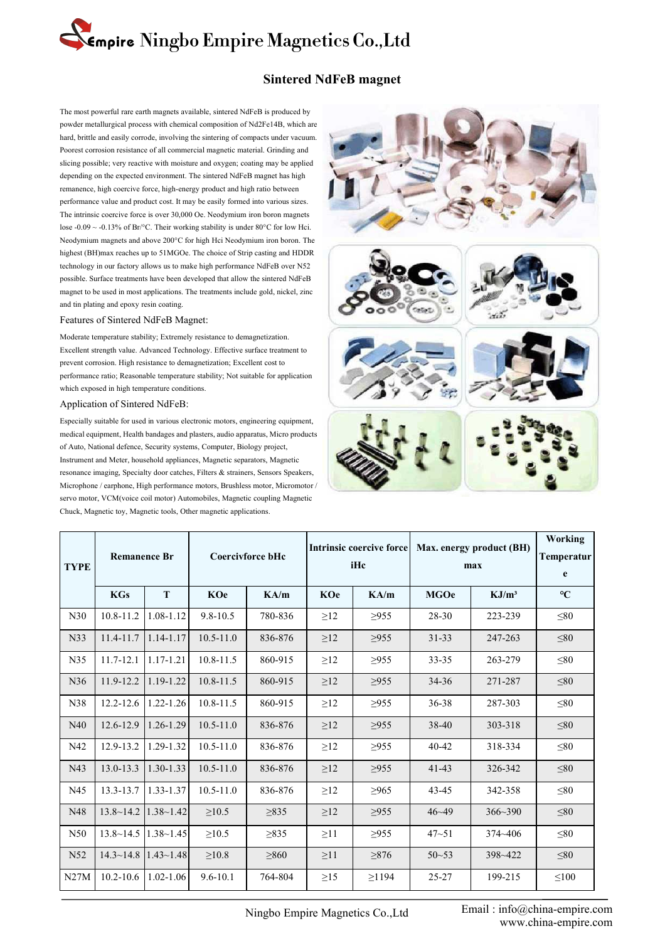# **Empire Ningbo Empire Magnetics Co., Ltd**<br>Sintered NdFeB magnet<br>The most powerful rare earth magnets available, sintered NdFeB is produced by<br>powder metallurgical process with chemical composition of Nd2Fe14B, which are<br>ha

**Empire Ningbo Empire Magnetics Co., Ltd**<br>
Sintered NdFeB magnet<br>
The most powerful rare earth magnets available, sintered NdFeB is produced by<br>
powder metallurgical process with chemical composition of Nd2Fe14B, which are **Empire Ningbo Empire Magnetics Co., Ltd**<br>Sintered NdFeB magnet<br>The most powerful rare earth magnets available, sintered NdFeB is produced by<br>powder metallurgical process with chemical composition of Nd2Fe14B, which are<br>ha **Empire Ningbo Empire Magnetics Co., Ltd**<br>
Sintered NdFeB magnet<br>
The most powerful rare earth magnets available, sintered NdFeB is produced by<br>
powder metallurgical process with chemical composition of Nd2Fe14B, which are Sintered NdFeB magnet<br>The most powerful rare earth magnets available, sintered NdFeB is produced by<br>powder metallurgical process with chemical composition of Nd2Fe14B, which are<br>hard, brittle and easily corrode, involving **Sintered NdFeB magnet**<br>The most powerful rare earth magnets available, sintered NdFeB is produced by<br>powder metallurgical process with chemical composition of Nd2Fe14B, which are<br>hard, brittle and easily corrode, involvin **Sintered NdFeB magnet**<br>The most powerful rare earth magnets available, sintered NdFeB is produced by<br>powder metallurgical process with chemical composition of Nd2Fe14B, which are<br>hard, brittle and easily corrode, involvin The most powerful rare earth magnets available, sintered NdFeB is produced by<br>powder metallurgical process with chemical composition of Nd2Fe14B, which are<br>hard, brittle and easily corrode, involving the sintering of compa The most powerful rare earth magnets available, sintered NdFeB is produced by<br>powder metallurgical process with chemical composition of Nd2Fe14B, which are<br>hard, brittle and easily corrode, involving the sintering of comp The most powerful rare earth magnets available, sintered NdFeB is produced by<br>powder metallurgical process with chemical composition of Nd2Fe14B, which are<br>hard, brittle and easily corrode, involving the sintering of compa powder metallurgical process with chemical composition of Nd2Fe14B, which are<br>hard, brittle and easily corrode, involving the sintering of compacts under vacuum.<br>Poorest corrosion resistance of all commercial magnetic mate hard, brittle and easily corrode, involving the sintering of compacts under vacuum.<br>
Poorest corrosion resistance of all commercial magnetic material. Grinding and<br>
slicing possible; very reactive with moisture and oxygen; Poorest corrosion resistance of all commercial magnetic material. Grinding and<br>slicing possible; very reactive with moisture and oxygen; coating may be applied<br>depending on the expected environment. The sintered NdFeB magn slicing possible; very reactive with moisture and oxygen; coating may be applied<br>depending on the expected environment. The sintered NdFeB magnet has high<br>remanence, high coercive force, high-energy product and high ratio depending on the expected envronment. The sintered NdreB magnet has high<br>remanence, high coercive force, high-energy product and high ratio between<br>performance value and product cost. It may be easily formed into various s remanence, high coercive force, high-energy product and high ratio be<br>performance value and product cost. It may be easily formed into vari<br>The intrinsic coercive force is over 30,000 Oe. Neodymium iron borot<br>lose -0.09 ~ depending on the expected environment. The sintered NdFeB magnet has high<br>remanence, high coercive force, high-energy product and high ratio between<br>performance value and product cost. It may be easily formed into various lose -0.09 ~ -0.13% of Br/°C. Their working stability is under 80°C for low Hei.<br>
Neodymium magnets and above 200°C for high Hei Neodymium iron boron. The<br>
highest (BH)max reaches up to 51MGOe. The choice of Strip casting Neodymium magnets and above 200°C for high Hci Neodymium iron boron. The<br>highest (BH)max reaches up to 51MGOe. The choice of Strip casting and HDDR<br>technology in our factory allows us to make high performance NdFeB over N5 highest (BH)max reaches up to 51MGOe. The choice of Strip casting and HDDR<br>technology in our factory allows us to make high performance NdFeB over N52<br>possible. Surface treatments have been developed that allow the sintere

technology in our factory allows us to make high performance NdFeB over N52<br>possible. Surface treatments have been developed that allow the sintered NdFeB<br>magnet to be used in most applications. The treatments include gold possible. Surface treatments have been developed that allow the sintered N<br>magnet to be used in most applications. The treatments include gold, nicke<br>and tin plating and epoxy resin coating.<br>Features of Sintered NdFeB Magn highest (BH)max reaches up to 51MGOe. The choice of Strip casting and HDDR<br>technology in our factory allows us to make high performance NdFeB over N52<br>possible. Surface treatments have been developed that allow the sintere and un plating and epoxy resin coating.<br>
Features of Sintered NdFeB Magnet:<br>
Moderate temperature stability; Extremely resistance to demagnetization.<br>
Excellent strength value. Advanced Technology. Effective surface treatm Features of Sintered NdFeB Magnet:<br>
Moderate temperature stability; Extremely resistance to demagnetization.<br>
Excellent strength value. Advanced Technology. Effective surface treatment to<br>
preformance ratio; Reasonable tem

Moderate temperature stability; Extremely resistance to demagnetization.<br>
Excellent strength value. Advanced Technology. Effective surface treatment to<br>
prevent corrosion. High resistance to demagnetization; Excellent cost Excellent strength value. Advanced Technology. Effective surface treatment to<br>prevent corrosion. High resistance to demagnetization; Excellent cost to<br>performance ratio; Reasonable temperature stability; Not suitable for a prevent corrosion. High resistance to demagnetization; Excellent cost to<br>performance ratio; Reasonable temperature stability; Not suitable for application<br>which exposed in high temperature conditions.<br>Application of Sinter performance ratio; Reasonable temperature stability; Not suitable for application<br>which exposed in high temperature conditions.<br>Application of Sintered NdFeB:<br>Especially suitable for used in various electronic motors, engi which exposed in high temperature conditions.<br>
Application of Sintered NdFeB:<br>
Especially suitable for used in various electronic motors, engineering equipment,<br>
medical equipment, Health bandages and plasters, audio appar Application of Sintered NdFeB:<br>
Especially suitable for used in various electronic motors, engineering equipment,<br>
medical equipment, Health bandages and plasters, audio apparatus, Micro products<br>
of Auto, National defence



| <b>TYPE</b> | Chuck, Magnetic toy, Magnetic tools, Other magnetic applications.<br><b>Remanence Br</b> |                                      | Microphone / earphone, High performance motors, Brushless motor, Micromotor /<br>servo motor, VCM(voice coil motor) Automobiles, Magnetic coupling Magnetic<br>Coercivforce bHc |            | Intrinsic coercive force<br>iHc |            | Max. energy product (BH)<br>max |                   | Working<br>Temperatur<br>$\mathbf{e}$ |
|-------------|------------------------------------------------------------------------------------------|--------------------------------------|---------------------------------------------------------------------------------------------------------------------------------------------------------------------------------|------------|---------------------------------|------------|---------------------------------|-------------------|---------------------------------------|
|             | <b>KGs</b>                                                                               | T                                    | <b>KOe</b>                                                                                                                                                                      | KA/m       | <b>KOe</b>                      | KA/m       | <b>MGOe</b>                     | KJ/m <sup>3</sup> | $\rm ^{\circ}\!C$                     |
| N30         | $10.8 - 11.2$                                                                            | 1.08-1.12                            | $9.8 - 10.5$                                                                                                                                                                    | 780-836    | $\geq$ 12                       | $\geq 955$ | 28-30                           | 223-239           | $\leq 80$                             |
| N33         | 11.4-11.7                                                                                | $1.14 - 1.17$                        | $10.5 - 11.0$                                                                                                                                                                   | 836-876    | $\geq$ 12                       | $\geq 955$ | $31 - 33$                       | 247-263           | $\leq 80$                             |
| N35         | 11.7-12.1                                                                                | $1.17 - 1.21$                        | $10.8 - 11.5$                                                                                                                                                                   | 860-915    | $\geq$ 12                       | $\geq$ 955 | 33-35                           | 263-279           | $\leq 80$                             |
| N36         | 11.9-12.2                                                                                | 1.19-1.22                            | $10.8 - 11.5$                                                                                                                                                                   | 860-915    | $\geq$ 12                       | $\geq$ 955 | 34-36                           | 271-287           | $\leq 80$                             |
| N38         | $12.2 - 12.6$                                                                            | 1.22-1.26                            | $10.8 - 11.5$                                                                                                                                                                   | 860-915    | $\geq$ 12                       | $\geq 955$ | 36-38                           | 287-303           | $\leq 80$                             |
| N40         | 12.6-12.9                                                                                | 1.26-1.29                            | $10.5 - 11.0$                                                                                                                                                                   | 836-876    | $\geq$ 12                       | $\geq$ 955 | 38-40                           | 303-318           | $\leq 80$                             |
| N42         | 12.9-13.2                                                                                | 1.29-1.32                            | $10.5 - 11.0$                                                                                                                                                                   | 836-876    | $\geq$ 12                       | $\geq 955$ | 40-42                           | 318-334           | $\leq 80$                             |
| N43         | 13.0-13.3                                                                                | 1.30-1.33                            | $10.5 - 11.0$                                                                                                                                                                   | 836-876    | $\geq$ 12                       | $\geq 955$ | 41-43                           | 326-342           | $\leq 80$                             |
| N45         | 13.3-13.7                                                                                | 1.33-1.37                            | $10.5 - 11.0$                                                                                                                                                                   | 836-876    | $\geq$ 12                       | $\geq 965$ | $43 - 45$                       | 342-358           | $\leq 80$                             |
| N48         | $13.8 \sim 14.2$                                                                         | $1.38 - 1.42$                        | $\geq 10.5$                                                                                                                                                                     | $\geq 835$ | $\geq$ 12                       | $\geq 955$ | $46 - 49$                       | 366~390           | $\leq 80$                             |
| N50         | $13.8 \sim 14.5$                                                                         | $ 1.38 \sim 1.45 $                   | $\geq 10.5$                                                                                                                                                                     | $\geq$ 835 | $\geq$ 11                       | $\geq$ 955 | $47 - 51$                       | 374~406           | $\leq 80$                             |
| N52         |                                                                                          | $14.3 \times 14.8$   1.43 \cdot 1.48 | $\geq10.8$                                                                                                                                                                      | $\geq 860$ | $\geq$ 11                       | $\geq$ 876 | $50 - 53$                       | 398~422           | $\leq 80$                             |
| N27M        | $10.2 - 10.6$                                                                            | $1.02 - 1.06$                        | $9.6 - 10.1$                                                                                                                                                                    | 764-804    | $\geq$ 15                       | $\geq$ 194 | 25-27                           | 199-215           | $\leq 100$                            |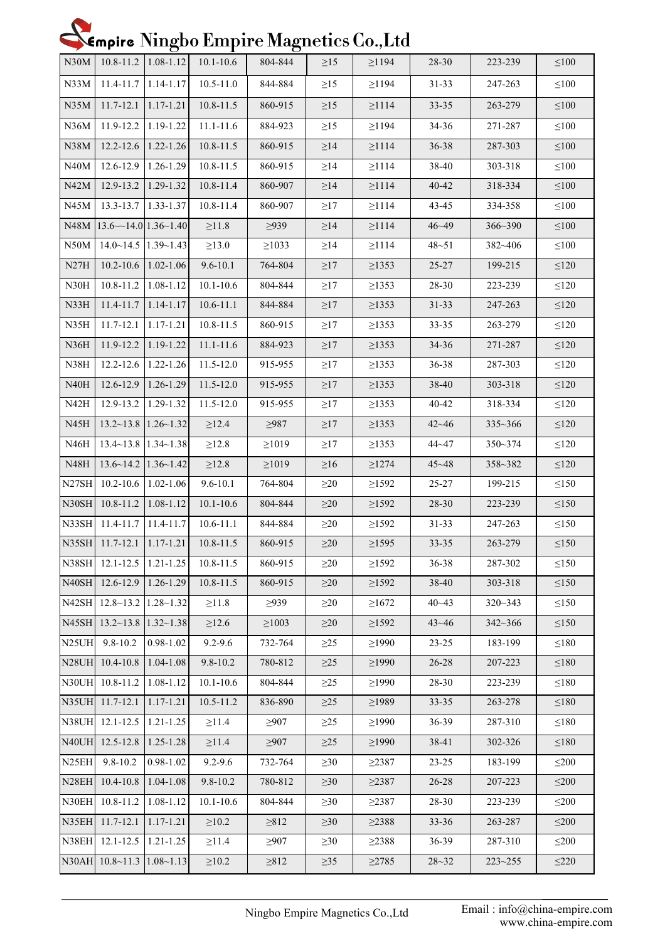## Nempire Ningbo Empire Magnetics Co., Ltd

|                    |                                        | $\cup$             |                                     | $\cup$                           |           |             |           |                              |                      |
|--------------------|----------------------------------------|--------------------|-------------------------------------|----------------------------------|-----------|-------------|-----------|------------------------------|----------------------|
| N30M               | $10.8 - 11.2$   1.08-1.12              |                    | $10.1 - 10.6$                       | 804-844                          | $\geq$ 15 | $\geq$ 194  | 28-30     | 223-239                      | $\leq 100$           |
| N33M               | $11.4 - 11.7$   1.14-1.17              |                    | $10.5 - 11.0$                       | 844-884                          | $\geq$ 15 | $\geq$ 194  | $31 - 33$ | 247-263                      | $\leq 100$           |
| N35M               | $11.7 - 12.1$   1.17-1.21              |                    | $10.8 - 11.5$                       | 860-915                          | $\geq$ 15 | $\geq$ 1114 | $33 - 35$ | 263-279                      | $\leq 100$           |
|                    | N36M   11.9-12.2   1.19-1.22           |                    | $11.1 - 11.6$                       | 884-923                          | $\geq$ 15 | $\geq$ 194  | $34 - 36$ | 271-287                      | $\leq 100$           |
| N38M               | $12.2 - 12.6$   1.22-1.26              |                    | $10.8 - 11.5$                       | 860-915                          | $\geq$ 14 | $\geq$ 1114 | $36 - 38$ | 287-303                      | $\leq 100$           |
|                    | $N40M$   12.6-12.9   1.26-1.29         |                    | $10.8 - 11.5$                       | 860-915                          | $\geq$ 14 | $\geq$ 1114 | 38-40     | 303-318                      | $\leq 100$           |
| N42M               | 12.9-13.2   1.29-1.32                  |                    | $10.8 - 11.4$                       | 860-907                          | $\geq$ 14 | $\geq$ 1114 | 40-42     | 318-334                      | $\leq 100$           |
|                    | N45M   13.3-13.7   1.33-1.37           |                    | 10.8-11.4                           | 860-907                          | $\geq$ 17 | $\geq$ 1114 | 43-45     | 334-358                      | $\leq 100$           |
|                    | N48M $ 13.6 \sim 14.0 1.36 \sim 1.40 $ |                    | $\geq$ 11.8                         | $\geq$ 939                       | $\geq$ 14 | $\geq$ 1114 | $46 - 49$ | 366~390                      | $\leq 100$           |
|                    | $N50M$   14.0~14.5   1.39~1.43         |                    | $\geq$ 13.0                         | $\geq 1033$                      | $\geq$ 14 | $\geq$ 1114 | $48 - 51$ | 382~406                      | $\leq 100$           |
| N27H               | $10.2 - 10.6$   1.02-1.06              |                    | $9.6 - 10.1$                        | 764-804                          | $\geq$ 17 | $\geq$ 1353 | $25 - 27$ | 199-215                      | $\leq 120$           |
|                    | $N30H$   10.8-11.2   1.08-1.12         |                    | $10.1 - 10.6$                       | 804-844                          | $\geq$ 17 | $\geq$ 1353 | 28-30     | 223-239                      | $\leq 120$           |
| N33H               | $11.4 - 11.7$   1.14-1.17              |                    | $10.6 - 11.1$                       | 844-884                          | $\geq$ 17 | $\geq$ 1353 | $31 - 33$ | 247-263                      | $\leq 120$           |
| N35H               | $11.7 - 12.1$   1.17-1.21              |                    | $10.8 - 11.5$                       | 860-915                          | $\geq$ 17 | $\geq$ 1353 | $33 - 35$ | 263-279                      | $\leq 120$           |
| N36H               | 11.9-12.2 1.19-1.22                    |                    | $11.1 - 11.6$                       | 884-923                          | $\geq$ 17 | $\geq$ 1353 | $34 - 36$ | 271-287                      | $\leq 120$           |
| N38H               | $12.2 - 12.6$   1.22-1.26              |                    | $11.5 - 12.0$                       | 915-955                          | $\geq$ 17 | $\geq$ 1353 | 36-38     | 287-303                      | $\leq 120$           |
| N40H               | $12.6 - 12.9$   1.26-1.29              |                    | 11.5-12.0                           | 915-955                          | $\geq$ 17 | $\geq$ 1353 | 38-40     | 303-318                      | $\leq 120$           |
| N42H               | $12.9 - 13.2$   1.29-1.32              |                    | 11.5-12.0                           | 915-955                          | $\geq$ 17 | $\geq$ 1353 | 40-42     | 318-334                      | $\leq 120$           |
| N45H               | $13.2 \times 13.8$   1.26 \times 1.32  |                    | $\geq$ 12.4                         | $\geq$ 987                       | $\geq$ 17 | $\geq$ 1353 | $42 - 46$ | $335 - 366$                  | $\leq 120$           |
| N46H               | $13.4 \sim 13.8$   1.34 $\sim$ 1.38    |                    | $\geq$ 12.8                         | $\geq 1019$                      | $\geq$ 17 | $\geq$ 1353 | $44 - 47$ | $350 - 374$                  | $\leq 120$           |
| N48H               | $13.6 \sim 14.2$   1.36 $\sim$ 1.42    |                    | $\geq 12.8$                         | $\geq 1019$                      | $\geq 16$ | $\geq$ 1274 | $45 - 48$ | 358~382                      | $\leq 120$           |
|                    | N27SH 10.2-10.6 1.02-1.06              |                    | $9.6 - 10.1$                        | 764-804                          | $\geq$ 20 | $\geq$ 1592 | $25 - 27$ | 199-215                      | $\leq 150$           |
|                    | N30SH 10.8-11.2 1.08-1.12              |                    | $10.1 - 10.6$                       | 804-844                          | $\geq 20$ | $\geq$ 1592 | 28-30     | 223-239                      | $\leq 150$           |
|                    | N33SH 11.4-11.7   11.4-11.7            |                    | $10.6 - 11.1$                       | 844-884                          | $\geq$ 20 | $\geq$ 1592 | $31 - 33$ | 247-263                      | $\leq 150$           |
|                    |                                        |                    | N35SH 11.7-12.1 1.17-1.21 10.8-11.5 | 860-915                          | $\geq$ 20 | $\geq$ 1595 | $33 - 35$ | 263-279                      | $\leq 150$           |
|                    | N38SH 12.1-12.5                        | $1.21 - 1.25$      | $10.8 - 11.5$                       | 860-915                          | $\geq$ 20 | $\geq$ 1592 | 36-38     | 287-302                      | $\leq150$            |
| N40SH              | 12.6-12.9                              | 1.26-1.29          | $10.8 - 11.5$                       | 860-915                          | $\geq$ 20 | $\geq$ 1592 | 38-40     | 303-318                      | $\leq$ 150           |
|                    | N42SH 12.8~13.2 1.28~1.32              |                    | $\geq 11.8$                         | >939                             | $\geq$ 20 | $\geq 1672$ | $40 - 43$ | 320~343                      | $\leq$ 150           |
|                    | N45SH 13.2~13.8 1.32~1.38              |                    | $\geq 12.6$                         | $\geq 1003$                      | $\geq$ 20 | $\geq$ 1592 | $43 - 46$ | 342~366                      | $\leq$ 150           |
| N <sub>25UH</sub>  | $9.8 - 10.2$                           | $0.98 - 1.02$      | $9.2 - 9.6$                         | 732-764                          | $\geq$ 25 | $\geq$ 1990 | 23-25     | 183-199                      | $\leq$ 180           |
| N28UH              | $10.4 - 10.8$                          | 1.04-1.08          | $9.8 - 10.2$                        | 780-812                          | $\geq$ 25 | $\geq$ 1990 | 26-28     | 207-223                      | $\leq$ 180           |
|                    | N30UH 10.8-11.2                        | $1.08 - 1.12$      | $10.1 - 10.6$                       | 804-844                          | $\geq$ 25 | $\geq$ 1990 | 28-30     | 223-239                      | $\leq$ 180           |
| N35UH              | 11.7-12.1                              | 1.17-1.21          | $10.5 - 11.2$                       | 836-890                          | $\geq$ 25 | $\geq$ 1989 | 33-35     | 263-278                      | $\leq$ 180           |
|                    | N38UH 12.1-12.5                        | $1.21 - 1.25$      | $\geq$ 11.4                         | $\geq 907$                       | $\geq$ 25 | $\geq$ 1990 | 36-39     | 287-310                      | $\leq$ 180           |
| N40UH              | $12.5 - 12.8$                          | 1.25-1.28          | $\geq$ 11.4                         | $\geq 907$                       | $\geq$ 25 | $\geq$ 1990 | 38-41     | 302-326                      | $\leq$ 180           |
| N <sub>25</sub> EH | $9.8 - 10.2$                           | $0.98 - 1.02$      | $9.2 - 9.6$                         | 732-764                          | $\geq 30$ | $\geq$ 2387 | $23 - 25$ | 183-199                      | $\leq 200$           |
| N <sub>28</sub> EH | 10.4-10.8                              | 1.04-1.08          | $9.8 - 10.2$                        | 780-812                          | $\geq 30$ | $\geq$ 2387 | 26-28     | 207-223                      | $\leq 200$           |
|                    | N30EH 10.8-11.2                        | 1.08-1.12          | $10.1 - 10.6$                       | 804-844                          | $\geq 30$ | $\geq$ 2387 | 28-30     | 223-239                      | $\leq 200$           |
| N35EH              | 11.7-12.1                              | $1.17 - 1.21$      | $\geq 10.2$                         | $\geq 812$                       | $\geq 30$ | $\geq$ 2388 | 33-36     | 263-287                      | $\leq 200$           |
| N38EH              | $12.1 - 12.5$                          | $1.21 - 1.25$      | $\geq$ 11.4                         | $\geq 907$                       | $\geq 30$ | $\geq$ 2388 | 36-39     | 287-310                      | $\leq 200$           |
|                    | N30AH 10.8~11.3                        | $ 1.08 \sim 1.13 $ | $\geq 10.2$                         | $\geq 812$                       | $\geq$ 35 | $\geq$ 2785 | $28 - 32$ | 223~255                      | $\leq$ 220           |
|                    |                                        |                    |                                     |                                  |           |             |           |                              |                      |
|                    |                                        |                    |                                     | Ningbo Empire Magnetics Co., Ltd |           |             |           | Email: info@china-empire.com | www.china-empire.com |
|                    |                                        |                    |                                     |                                  |           |             |           |                              |                      |
|                    |                                        |                    |                                     |                                  |           |             |           |                              |                      |